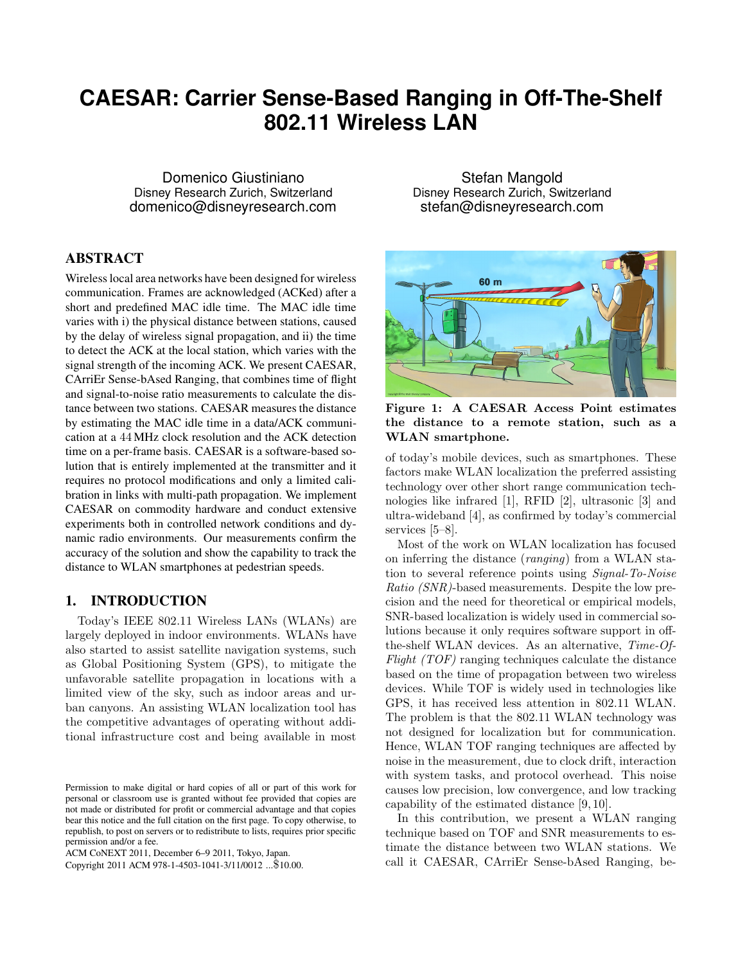# **CAESAR: Carrier Sense-Based Ranging in Off-The-Shelf 802.11 Wireless LAN**

Domenico Giustiniano Disney Research Zurich, Switzerland domenico@disneyresearch.com

# **ABSTRACT**

Wireless local area networks have been designed for wireless communication. Frames are acknowledged (ACKed) after a short and predefined MAC idle time. The MAC idle time varies with i) the physical distance between stations, caused by the delay of wireless signal propagation, and ii) the time to detect the ACK at the local station, which varies with the signal strength of the incoming ACK. We present CAESAR, CArriEr Sense-bAsed Ranging, that combines time of flight and signal-to-noise ratio measurements to calculate the distance between two stations. CAESAR measures the distance by estimating the MAC idle time in a data/ACK communication at a 44 MHz clock resolution and the ACK detection time on a per-frame basis. CAESAR is a software-based solution that is entirely implemented at the transmitter and it requires no protocol modifications and only a limited calibration in links with multi-path propagation. We implement CAESAR on commodity hardware and conduct extensive experiments both in controlled network conditions and dynamic radio environments. Our measurements confirm the accuracy of the solution and show the capability to track the distance to WLAN smartphones at pedestrian speeds.

# **1. INTRODUCTION**

Today's IEEE 802.11 Wireless LANs (WLANs) are largely deployed in indoor environments. WLANs have also started to assist satellite navigation systems, such as Global Positioning System (GPS), to mitigate the unfavorable satellite propagation in locations with a limited view of the sky, such as indoor areas and urban canyons. An assisting WLAN localization tool has the competitive advantages of operating without additional infrastructure cost and being available in most

ACM CoNEXT 2011, December 6–9 2011, Tokyo, Japan.

Copyright 2011 ACM 978-1-4503-1041-3/11/0012 ...\$10.00.

Stefan Mangold Disney Research Zurich, Switzerland stefan@disneyresearch.com



Figure 1: A CAESAR Access Point estimates the distance to a remote station, such as a WLAN smartphone.

of today's mobile devices, such as smartphones. These factors make WLAN localization the preferred assisting technology over other short range communication technologies like infrared [1], RFID [2], ultrasonic [3] and ultra-wideband [4], as confirmed by today's commercial services [5–8].

Most of the work on WLAN localization has focused on inferring the distance (ranging) from a WLAN station to several reference points using Signal-To-Noise Ratio (SNR)-based measurements. Despite the low precision and the need for theoretical or empirical models, SNR-based localization is widely used in commercial solutions because it only requires software support in offthe-shelf WLAN devices. As an alternative, Time-Of-Flight (TOF) ranging techniques calculate the distance based on the time of propagation between two wireless devices. While TOF is widely used in technologies like GPS, it has received less attention in 802.11 WLAN. The problem is that the 802.11 WLAN technology was not designed for localization but for communication. Hence, WLAN TOF ranging techniques are affected by noise in the measurement, due to clock drift, interaction with system tasks, and protocol overhead. This noise causes low precision, low convergence, and low tracking capability of the estimated distance [9, 10].

In this contribution, we present a WLAN ranging technique based on TOF and SNR measurements to estimate the distance between two WLAN stations. We call it CAESAR, CArriEr Sense-bAsed Ranging, be-

Permission to make digital or hard copies of all or part of this work for personal or classroom use is granted without fee provided that copies are not made or distributed for profit or commercial advantage and that copies bear this notice and the full citation on the first page. To copy otherwise, to republish, to post on servers or to redistribute to lists, requires prior specific permission and/or a fee.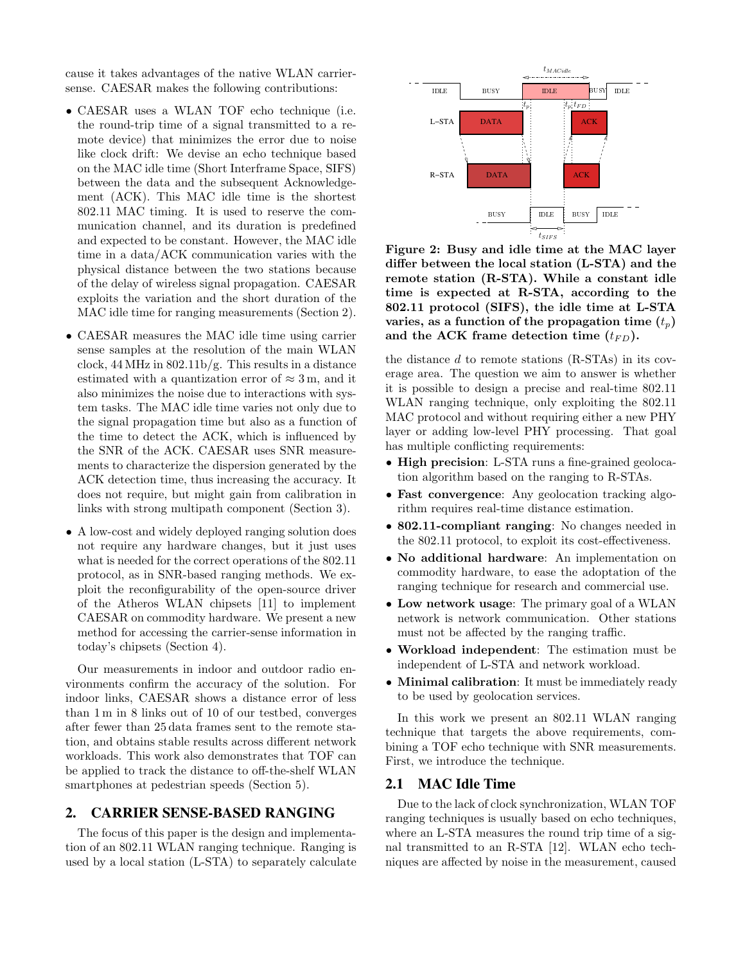cause it takes advantages of the native WLAN carriersense. CAESAR makes the following contributions:

- CAESAR uses a WLAN TOF echo technique (i.e. the round-trip time of a signal transmitted to a remote device) that minimizes the error due to noise like clock drift: We devise an echo technique based on the MAC idle time (Short Interframe Space, SIFS) between the data and the subsequent Acknowledgement (ACK). This MAC idle time is the shortest 802.11 MAC timing. It is used to reserve the communication channel, and its duration is predefined and expected to be constant. However, the MAC idle time in a data/ACK communication varies with the physical distance between the two stations because of the delay of wireless signal propagation. CAESAR exploits the variation and the short duration of the MAC idle time for ranging measurements (Section 2).
- CAESAR measures the MAC idle time using carrier sense samples at the resolution of the main WLAN clock,  $44 \text{ MHz}$  in  $802.11 \text{ b/g}$ . This results in a distance estimated with a quantization error of  $\approx 3$  m, and it also minimizes the noise due to interactions with system tasks. The MAC idle time varies not only due to the signal propagation time but also as a function of the time to detect the ACK, which is influenced by the SNR of the ACK. CAESAR uses SNR measurements to characterize the dispersion generated by the ACK detection time, thus increasing the accuracy. It does not require, but might gain from calibration in links with strong multipath component (Section 3).
- A low-cost and widely deployed ranging solution does not require any hardware changes, but it just uses what is needed for the correct operations of the 802.11 protocol, as in SNR-based ranging methods. We exploit the reconfigurability of the open-source driver of the Atheros WLAN chipsets [11] to implement CAESAR on commodity hardware. We present a new method for accessing the carrier-sense information in today's chipsets (Section 4).

Our measurements in indoor and outdoor radio environments confirm the accuracy of the solution. For indoor links, CAESAR shows a distance error of less than 1 m in 8 links out of 10 of our testbed, converges after fewer than 25 data frames sent to the remote station, and obtains stable results across different network workloads. This work also demonstrates that TOF can be applied to track the distance to off-the-shelf WLAN smartphones at pedestrian speeds (Section 5).

# **2. CARRIER SENSE-BASED RANGING**

The focus of this paper is the design and implementation of an 802.11 WLAN ranging technique. Ranging is used by a local station (L-STA) to separately calculate



Figure 2: Busy and idle time at the MAC layer differ between the local station (L-STA) and the remote station (R-STA). While a constant idle time is expected at R-STA, according to the 802.11 protocol (SIFS), the idle time at L-STA varies, as a function of the propagation time  $(t_p)$ and the ACK frame detection time  $(t_{FD})$ .

the distance  $d$  to remote stations  $(R\text{-STAs})$  in its coverage area. The question we aim to answer is whether it is possible to design a precise and real-time 802.11 WLAN ranging technique, only exploiting the 802.11 MAC protocol and without requiring either a new PHY layer or adding low-level PHY processing. That goal has multiple conflicting requirements:

- High precision: L-STA runs a fine-grained geolocation algorithm based on the ranging to R-STAs.
- Fast convergence: Any geolocation tracking algorithm requires real-time distance estimation.
- 802.11-compliant ranging: No changes needed in the 802.11 protocol, to exploit its cost-effectiveness.
- No additional hardware: An implementation on commodity hardware, to ease the adoptation of the ranging technique for research and commercial use.
- Low network usage: The primary goal of a WLAN network is network communication. Other stations must not be affected by the ranging traffic.
- Workload independent: The estimation must be independent of L-STA and network workload.
- Minimal calibration: It must be immediately ready to be used by geolocation services.

In this work we present an 802.11 WLAN ranging technique that targets the above requirements, combining a TOF echo technique with SNR measurements. First, we introduce the technique.

#### **2.1 MAC Idle Time**

Due to the lack of clock synchronization, WLAN TOF ranging techniques is usually based on echo techniques, where an L-STA measures the round trip time of a signal transmitted to an R-STA [12]. WLAN echo techniques are affected by noise in the measurement, caused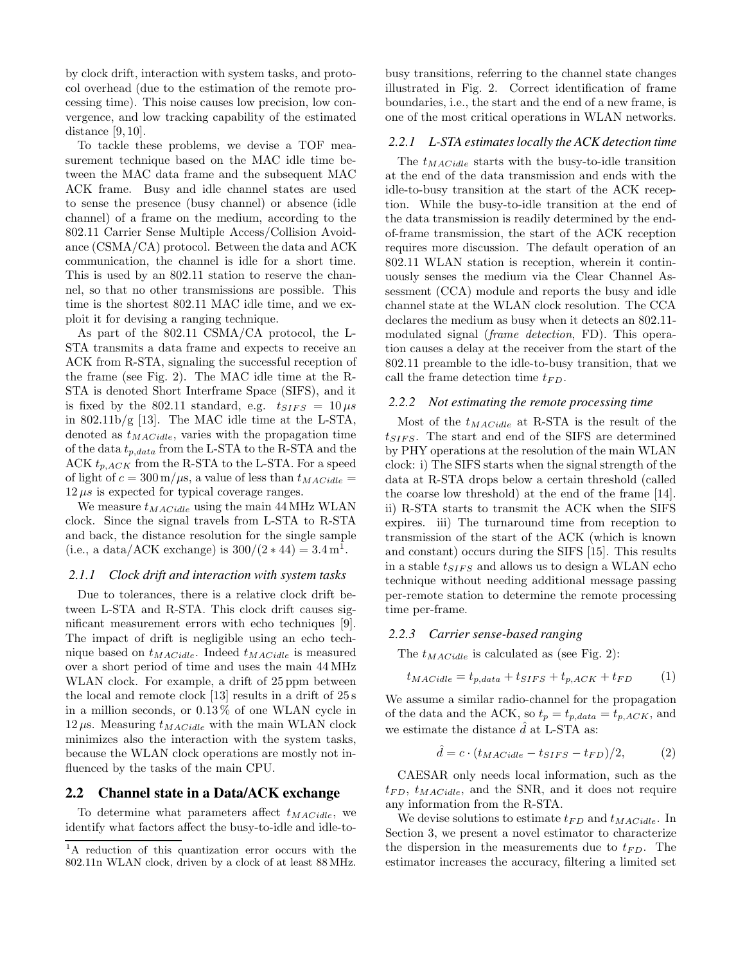by clock drift, interaction with system tasks, and protocol overhead (due to the estimation of the remote processing time). This noise causes low precision, low convergence, and low tracking capability of the estimated distance [9, 10].

To tackle these problems, we devise a TOF measurement technique based on the MAC idle time between the MAC data frame and the subsequent MAC ACK frame. Busy and idle channel states are used to sense the presence (busy channel) or absence (idle channel) of a frame on the medium, according to the 802.11 Carrier Sense Multiple Access/Collision Avoidance (CSMA/CA) protocol. Between the data and ACK communication, the channel is idle for a short time. This is used by an 802.11 station to reserve the channel, so that no other transmissions are possible. This time is the shortest 802.11 MAC idle time, and we exploit it for devising a ranging technique.

As part of the 802.11 CSMA/CA protocol, the L-STA transmits a data frame and expects to receive an ACK from R-STA, signaling the successful reception of the frame (see Fig. 2). The MAC idle time at the R-STA is denoted Short Interframe Space (SIFS), and it is fixed by the 802.11 standard, e.g.  $t_{SIFS} = 10 \,\mu s$ in  $802.11b/g$  [13]. The MAC idle time at the L-STA, denoted as  $t_{MACidle}$ , varies with the propagation time of the data  $t_{p,data}$  from the L-STA to the R-STA and the ACK  $t_{p,ACK}$  from the R-STA to the L-STA. For a speed of light of  $c = 300 \,\mathrm{m}/\mu s$ , a value of less than  $t_{MACidle} =$  $12 \mu s$  is expected for typical coverage ranges.

We measure  $t_{MACidle}$  using the main 44 MHz WLAN clock. Since the signal travels from L-STA to R-STA and back, the distance resolution for the single sample (i.e., a data/ACK exchange) is  $300/(2*44) = 3.4 \,\text{m}^1$ .

#### *2.1.1 Clock drift and interaction with system tasks*

Due to tolerances, there is a relative clock drift between L-STA and R-STA. This clock drift causes significant measurement errors with echo techniques [9]. The impact of drift is negligible using an echo technique based on  $t_{MACidle}$ . Indeed  $t_{MACidle}$  is measured over a short period of time and uses the main 44 MHz WLAN clock. For example, a drift of 25 ppm between the local and remote clock [13] results in a drift of 25 s in a million seconds, or 0.13 % of one WLAN cycle in  $12 \,\mu s$ . Measuring  $t_{MACidle}$  with the main WLAN clock minimizes also the interaction with the system tasks, because the WLAN clock operations are mostly not influenced by the tasks of the main CPU.

#### **2.2 Channel state in a Data/ACK exchange**

To determine what parameters affect  $t_{MACidle}$ , we identify what factors affect the busy-to-idle and idle-tobusy transitions, referring to the channel state changes illustrated in Fig. 2. Correct identification of frame boundaries, i.e., the start and the end of a new frame, is one of the most critical operations in WLAN networks.

#### *2.2.1 L-STA estimates locally the ACK detection time*

The  $t_{MACidle}$  starts with the busy-to-idle transition at the end of the data transmission and ends with the idle-to-busy transition at the start of the ACK reception. While the busy-to-idle transition at the end of the data transmission is readily determined by the endof-frame transmission, the start of the ACK reception requires more discussion. The default operation of an 802.11 WLAN station is reception, wherein it continuously senses the medium via the Clear Channel Assessment (CCA) module and reports the busy and idle channel state at the WLAN clock resolution. The CCA declares the medium as busy when it detects an 802.11 modulated signal (frame detection, FD). This operation causes a delay at the receiver from the start of the 802.11 preamble to the idle-to-busy transition, that we call the frame detection time  $t_{FD}$ .

#### *2.2.2 Not estimating the remote processing time*

Most of the  $t_{MACidle}$  at R-STA is the result of the  $t_{SIFS}$ . The start and end of the SIFS are determined by PHY operations at the resolution of the main WLAN clock: i) The SIFS starts when the signal strength of the data at R-STA drops below a certain threshold (called the coarse low threshold) at the end of the frame [14]. ii) R-STA starts to transmit the ACK when the SIFS expires. iii) The turnaround time from reception to transmission of the start of the ACK (which is known and constant) occurs during the SIFS [15]. This results in a stable  $t_{SIFS}$  and allows us to design a WLAN echo technique without needing additional message passing per-remote station to determine the remote processing time per-frame.

#### *2.2.3 Carrier sense-based ranging*

The  $t_{MACidle}$  is calculated as (see Fig. 2):

$$
t_{MACidle} = t_{p, data} + t_{SIFS} + t_{p,ACK} + t_{FD}
$$
 (1)

We assume a similar radio-channel for the propagation of the data and the ACK, so  $t_p = t_{p,data} = t_{p,ACK}$ , and we estimate the distance  $\hat{d}$  at L-STA as:

$$
\hat{d} = c \cdot (t_{MACidle} - t_{SIFS} - t_{FD})/2, \tag{2}
$$

CAESAR only needs local information, such as the  $t_{FD}$ ,  $t_{MACidle}$ , and the SNR, and it does not require any information from the R-STA.

We devise solutions to estimate  $t_{FD}$  and  $t_{MACidle}$ . In Section 3, we present a novel estimator to characterize the dispersion in the measurements due to  $t_{FD}$ . The estimator increases the accuracy, filtering a limited set

<sup>1</sup>A reduction of this quantization error occurs with the 802.11n WLAN clock, driven by a clock of at least 88 MHz.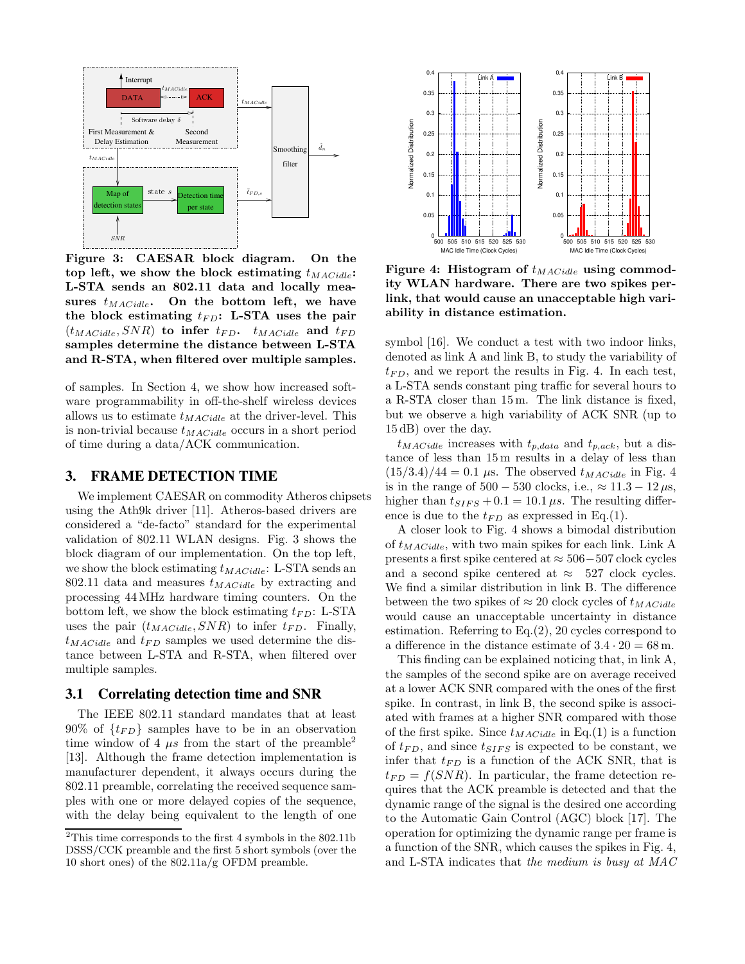

Figure 3: CAESAR block diagram. On the top left, we show the block estimating  $t_{MACidle}$ : L-STA sends an 802.11 data and locally measures  $t_{MACidle}$ . On the bottom left, we have the block estimating  $t_{FD}$ : L-STA uses the pair  $(t_{MACidle}, SNR)$  to infer  $t_{FD}$ .  $t_{MACidle}$  and  $t_{FD}$ samples determine the distance between L-STA and R-STA, when filtered over multiple samples.

of samples. In Section 4, we show how increased software programmability in off-the-shelf wireless devices allows us to estimate  $t_{MACidle}$  at the driver-level. This is non-trivial because  $t_{MACidle}$  occurs in a short period of time during a data/ACK communication.

# **3. FRAME DETECTION TIME**

We implement CAESAR on commodity Atheros chipsets using the Ath9k driver [11]. Atheros-based drivers are considered a "de-facto" standard for the experimental validation of 802.11 WLAN designs. Fig. 3 shows the block diagram of our implementation. On the top left, we show the block estimating  $t_{MACidle}$ : L-STA sends an 802.11 data and measures  $t_{MACidle}$  by extracting and processing 44 MHz hardware timing counters. On the bottom left, we show the block estimating  $t_{FD}$ : L-STA uses the pair  $(t_{MACidle}, SNR)$  to infer  $t_{FD}$ . Finally,  $t_{MACidle}$  and  $t_{FD}$  samples we used determine the distance between L-STA and R-STA, when filtered over multiple samples.

# **3.1 Correlating detection time and SNR**

The IEEE 802.11 standard mandates that at least  $90\%$  of  $\{t_{FD}\}\$  samples have to be in an observation time window of 4  $\mu s$  from the start of the preamble<sup>2</sup> [13]. Although the frame detection implementation is manufacturer dependent, it always occurs during the 802.11 preamble, correlating the received sequence samples with one or more delayed copies of the sequence, with the delay being equivalent to the length of one



Figure 4: Histogram of  $t_{MACidle}$  using commodity WLAN hardware. There are two spikes perlink, that would cause an unacceptable high variability in distance estimation.

symbol [16]. We conduct a test with two indoor links, denoted as link A and link B, to study the variability of  $t_{FD}$ , and we report the results in Fig. 4. In each test, a L-STA sends constant ping traffic for several hours to a R-STA closer than 15 m. The link distance is fixed, but we observe a high variability of ACK SNR (up to 15 dB) over the day.

 $t_{MACidle}$  increases with  $t_{p,data}$  and  $t_{p,ack}$ , but a distance of less than 15 m results in a delay of less than  $(15/3.4)/44 = 0.1 \mu$ s. The observed  $t_{MACidle}$  in Fig. 4 is in the range of  $500 - 530$  clocks, i.e.,  $\approx 11.3 - 12 \,\mu s$ , higher than  $t_{SIFS} + 0.1 = 10.1 \,\mu s$ . The resulting difference is due to the  $t_{FD}$  as expressed in Eq.(1).

A closer look to Fig. 4 shows a bimodal distribution of  $t_{MACidle}$ , with two main spikes for each link. Link A presents a first spike centered at ≈ 506−507 clock cycles and a second spike centered at  $\approx$  527 clock cycles. We find a similar distribution in link B. The difference between the two spikes of  $\approx 20$  clock cycles of  $t_{MAC}$ would cause an unacceptable uncertainty in distance estimation. Referring to Eq.(2), 20 cycles correspond to a difference in the distance estimate of  $3.4 \cdot 20 = 68$  m.

This finding can be explained noticing that, in link A, the samples of the second spike are on average received at a lower ACK SNR compared with the ones of the first spike. In contrast, in link B, the second spike is associated with frames at a higher SNR compared with those of the first spike. Since  $t_{MACidle}$  in Eq.(1) is a function of  $t_{FD}$ , and since  $t_{SIFS}$  is expected to be constant, we infer that  $t_{FD}$  is a function of the ACK SNR, that is  $t_{FD} = f(SNR)$ . In particular, the frame detection requires that the ACK preamble is detected and that the dynamic range of the signal is the desired one according to the Automatic Gain Control (AGC) block [17]. The operation for optimizing the dynamic range per frame is a function of the SNR, which causes the spikes in Fig. 4, and L-STA indicates that the medium is busy at MAC

 $2$ This time corresponds to the first 4 symbols in the 802.11b DSSS/CCK preamble and the first 5 short symbols (over the 10 short ones) of the 802.11a/g OFDM preamble.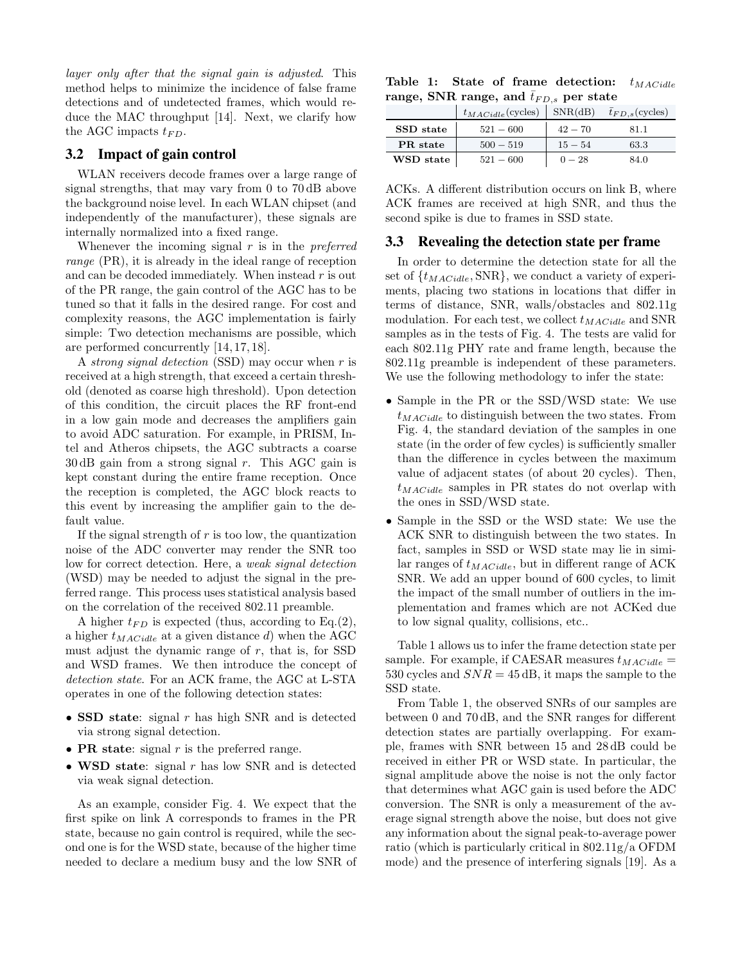layer only after that the signal gain is adjusted. This method helps to minimize the incidence of false frame detections and of undetected frames, which would reduce the MAC throughput [14]. Next, we clarify how the AGC impacts  $t_{FD}$ .

# **3.2 Impact of gain control**

WLAN receivers decode frames over a large range of signal strengths, that may vary from 0 to 70 dB above the background noise level. In each WLAN chipset (and independently of the manufacturer), these signals are internally normalized into a fixed range.

Whenever the incoming signal  $r$  is in the *preferred* range (PR), it is already in the ideal range of reception and can be decoded immediately. When instead  $r$  is out of the PR range, the gain control of the AGC has to be tuned so that it falls in the desired range. For cost and complexity reasons, the AGC implementation is fairly simple: Two detection mechanisms are possible, which are performed concurrently [14, 17, 18].

A strong signal detection  $(SSD)$  may occur when r is received at a high strength, that exceed a certain threshold (denoted as coarse high threshold). Upon detection of this condition, the circuit places the RF front-end in a low gain mode and decreases the amplifiers gain to avoid ADC saturation. For example, in PRISM, Intel and Atheros chipsets, the AGC subtracts a coarse  $30 \text{ dB}$  gain from a strong signal r. This AGC gain is kept constant during the entire frame reception. Once the reception is completed, the AGC block reacts to this event by increasing the amplifier gain to the default value.

If the signal strength of  $r$  is too low, the quantization noise of the ADC converter may render the SNR too low for correct detection. Here, a weak signal detection (WSD) may be needed to adjust the signal in the preferred range. This process uses statistical analysis based on the correlation of the received 802.11 preamble.

A higher  $t_{FD}$  is expected (thus, according to Eq.(2), a higher  $t_{MACidle}$  at a given distance  $d$ ) when the AGC must adjust the dynamic range of  $r$ , that is, for SSD and WSD frames. We then introduce the concept of detection state. For an ACK frame, the AGC at L-STA operates in one of the following detection states:

- SSD state: signal  $r$  has high SNR and is detected via strong signal detection.
- PR state: signal  $r$  is the preferred range.
- WSD state: signal  $r$  has low SNR and is detected via weak signal detection.

As an example, consider Fig. 4. We expect that the first spike on link A corresponds to frames in the PR state, because no gain control is required, while the second one is for the WSD state, because of the higher time needed to declare a medium busy and the low SNR of

Table 1: State of frame detection:  $t_{MACidle}$ range, SNR range, and  $t_{FD,s}$  per state

|           | $t_{MACidle}$ (cycles) | SNR(dB)   | $\overline{t}_{FD,s}$ (cycles) |
|-----------|------------------------|-----------|--------------------------------|
| SSD state | $521 - 600$            | $42 - 70$ | 81.1                           |
| PR state  | $500 - 519$            | $15 - 54$ | 63.3                           |
| WSD state | $521 - 600$            | $0 - 28$  | 84.0                           |

ACKs. A different distribution occurs on link B, where ACK frames are received at high SNR, and thus the second spike is due to frames in SSD state.

# **3.3 Revealing the detection state per frame**

In order to determine the detection state for all the set of  $\{t_{MACide}, \text{SNR}\},$  we conduct a variety of experiments, placing two stations in locations that differ in terms of distance, SNR, walls/obstacles and 802.11g modulation. For each test, we collect  $t_{MACidle}$  and SNR samples as in the tests of Fig. 4. The tests are valid for each 802.11g PHY rate and frame length, because the 802.11g preamble is independent of these parameters. We use the following methodology to infer the state:

- Sample in the PR or the SSD/WSD state: We use  $t_{MACidle}$  to distinguish between the two states. From Fig. 4, the standard deviation of the samples in one state (in the order of few cycles) is sufficiently smaller than the difference in cycles between the maximum value of adjacent states (of about 20 cycles). Then,  $t_{MACidle}$  samples in PR states do not overlap with the ones in SSD/WSD state.
- Sample in the SSD or the WSD state: We use the ACK SNR to distinguish between the two states. In fact, samples in SSD or WSD state may lie in similar ranges of  $t_{MACidle}$ , but in different range of ACK SNR. We add an upper bound of 600 cycles, to limit the impact of the small number of outliers in the implementation and frames which are not ACKed due to low signal quality, collisions, etc..

Table 1 allows us to infer the frame detection state per sample. For example, if CAESAR measures  $t_{MACidle} =$ 530 cycles and  $SNR = 45$  dB, it maps the sample to the SSD state.

From Table 1, the observed SNRs of our samples are between 0 and 70 dB, and the SNR ranges for different detection states are partially overlapping. For example, frames with SNR between 15 and 28 dB could be received in either PR or WSD state. In particular, the signal amplitude above the noise is not the only factor that determines what AGC gain is used before the ADC conversion. The SNR is only a measurement of the average signal strength above the noise, but does not give any information about the signal peak-to-average power ratio (which is particularly critical in 802.11g/a OFDM mode) and the presence of interfering signals [19]. As a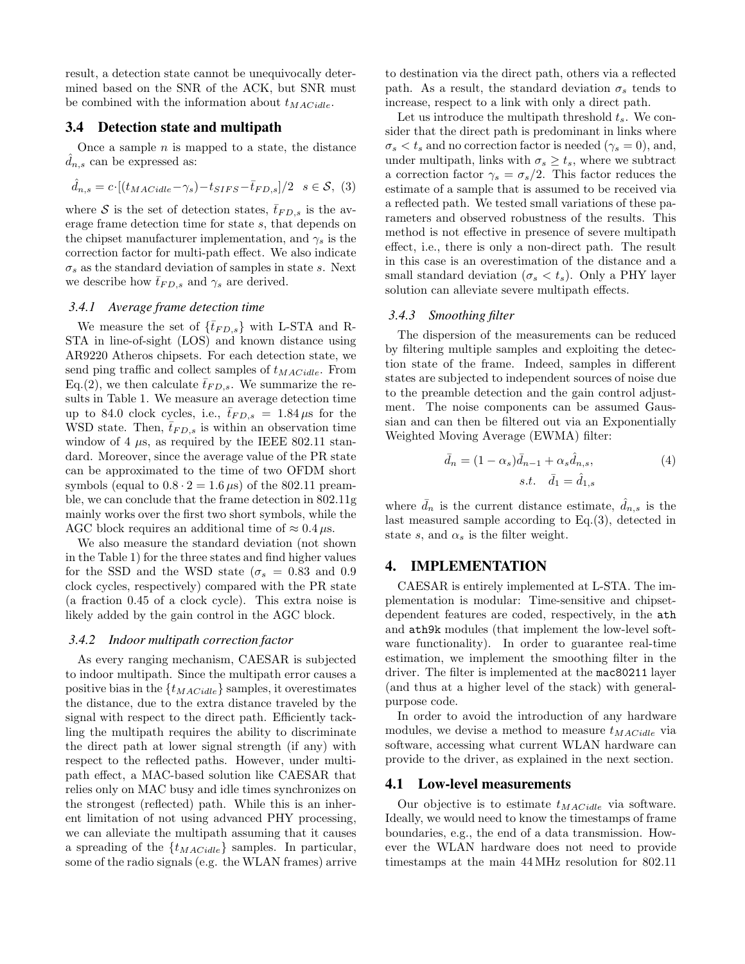result, a detection state cannot be unequivocally determined based on the SNR of the ACK, but SNR must be combined with the information about  $t_{MACidle}$ .

# **3.4 Detection state and multipath**

Once a sample  $n$  is mapped to a state, the distance  $d_{n,s}$  can be expressed as:

$$
\hat{d}_{n,s} = c \cdot \frac{\left[ (t_{MACidle} - \gamma_s) - t_{SIFS} - \bar{t}_{FD,s} \right] / 2 \quad s \in \mathcal{S}, \tag{3}
$$

where S is the set of detection states,  $\bar{t}_{FD,s}$  is the average frame detection time for state s, that depends on the chipset manufacturer implementation, and  $\gamma_s$  is the correction factor for multi-path effect. We also indicate  $\sigma_s$  as the standard deviation of samples in state s. Next we describe how  $t_{FD,s}$  and  $\gamma_s$  are derived.

# *3.4.1 Average frame detection time*

We measure the set of  $\{\bar{t}_{FD,s}\}\$  with L-STA and R-STA in line-of-sight (LOS) and known distance using AR9220 Atheros chipsets. For each detection state, we send ping traffic and collect samples of  $t_{MACidle}$ . From Eq.(2), we then calculate  $\bar{t}_{FD,s}$ . We summarize the results in Table 1. We measure an average detection time up to 84.0 clock cycles, i.e.,  $\bar{t}_{FD,s} = 1.84 \,\mu s$  for the WSD state. Then,  $\bar{t}_{FD,s}$  is within an observation time window of 4  $\mu$ s, as required by the IEEE 802.11 standard. Moreover, since the average value of the PR state can be approximated to the time of two OFDM short symbols (equal to  $0.8 \cdot 2 = 1.6 \,\mu s$ ) of the 802.11 preamble, we can conclude that the frame detection in 802.11g mainly works over the first two short symbols, while the AGC block requires an additional time of  $\approx 0.4 \,\mu s$ .

We also measure the standard deviation (not shown in the Table 1) for the three states and find higher values for the SSD and the WSD state ( $\sigma_s = 0.83$  and 0.9 clock cycles, respectively) compared with the PR state (a fraction 0.45 of a clock cycle). This extra noise is likely added by the gain control in the AGC block.

#### *3.4.2 Indoor multipath correction factor*

As every ranging mechanism, CAESAR is subjected to indoor multipath. Since the multipath error causes a positive bias in the  $\{t_{MACide}\}\$  samples, it overestimates the distance, due to the extra distance traveled by the signal with respect to the direct path. Efficiently tackling the multipath requires the ability to discriminate the direct path at lower signal strength (if any) with respect to the reflected paths. However, under multipath effect, a MAC-based solution like CAESAR that relies only on MAC busy and idle times synchronizes on the strongest (reflected) path. While this is an inherent limitation of not using advanced PHY processing, we can alleviate the multipath assuming that it causes a spreading of the  $\{t_{MACidle}\}\$  samples. In particular, some of the radio signals (e.g. the WLAN frames) arrive

to destination via the direct path, others via a reflected path. As a result, the standard deviation  $\sigma_s$  tends to increase, respect to a link with only a direct path.

Let us introduce the multipath threshold  $t_s$ . We consider that the direct path is predominant in links where  $\sigma_s < t_s$  and no correction factor is needed  $(\gamma_s = 0)$ , and, under multipath, links with  $\sigma_s \geq t_s$ , where we subtract a correction factor  $\gamma_s = \sigma_s/2$ . This factor reduces the estimate of a sample that is assumed to be received via a reflected path. We tested small variations of these parameters and observed robustness of the results. This method is not effective in presence of severe multipath effect, i.e., there is only a non-direct path. The result in this case is an overestimation of the distance and a small standard deviation ( $\sigma_s < t_s$ ). Only a PHY layer solution can alleviate severe multipath effects.

#### *3.4.3 Smoothing filter*

The dispersion of the measurements can be reduced by filtering multiple samples and exploiting the detection state of the frame. Indeed, samples in different states are subjected to independent sources of noise due to the preamble detection and the gain control adjustment. The noise components can be assumed Gaussian and can then be filtered out via an Exponentially Weighted Moving Average (EWMA) filter:

$$
\bar{d}_n = (1 - \alpha_s)\bar{d}_{n-1} + \alpha_s \hat{d}_{n,s},
$$
  
s.t.  $\bar{d}_1 = \hat{d}_{1,s}$  (4)

where  $\bar{d}_n$  is the current distance estimate,  $\hat{d}_{n,s}$  is the last measured sample according to Eq.(3), detected in state s, and  $\alpha_s$  is the filter weight.

## **4. IMPLEMENTATION**

CAESAR is entirely implemented at L-STA. The implementation is modular: Time-sensitive and chipsetdependent features are coded, respectively, in the ath and ath9k modules (that implement the low-level software functionality). In order to guarantee real-time estimation, we implement the smoothing filter in the driver. The filter is implemented at the mac80211 layer (and thus at a higher level of the stack) with generalpurpose code.

In order to avoid the introduction of any hardware modules, we devise a method to measure  $t_{MACidle}$  via software, accessing what current WLAN hardware can provide to the driver, as explained in the next section.

#### **4.1 Low-level measurements**

Our objective is to estimate  $t_{MACidle}$  via software. Ideally, we would need to know the timestamps of frame boundaries, e.g., the end of a data transmission. However the WLAN hardware does not need to provide timestamps at the main 44 MHz resolution for 802.11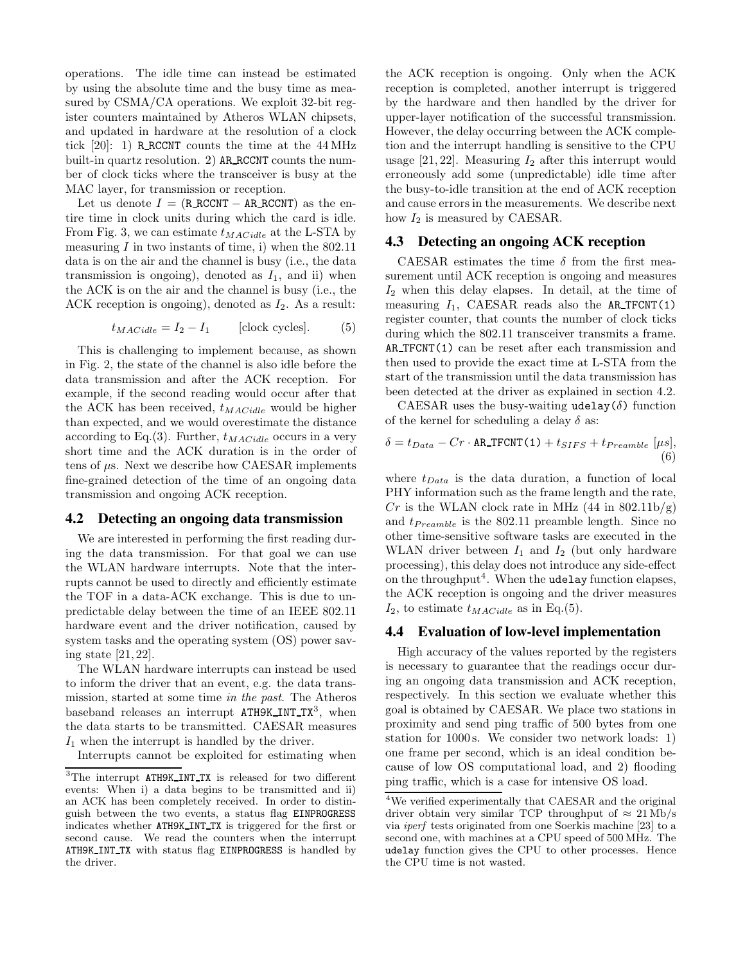operations. The idle time can instead be estimated by using the absolute time and the busy time as measured by CSMA/CA operations. We exploit 32-bit register counters maintained by Atheros WLAN chipsets, and updated in hardware at the resolution of a clock tick  $[20]$ : 1) R\_RCCNT counts the time at the 44 MHz built-in quartz resolution. 2) AR RCCNT counts the number of clock ticks where the transceiver is busy at the MAC layer, for transmission or reception.

Let us denote  $I = (R \text{-}RCCNT - AR \text{-}RCCNT)$  as the entire time in clock units during which the card is idle. From Fig. 3, we can estimate  $t_{MACidle}$  at the L-STA by measuring  $I$  in two instants of time, i) when the 802.11 data is on the air and the channel is busy (i.e., the data transmission is ongoing), denoted as  $I_1$ , and ii) when the ACK is on the air and the channel is busy (i.e., the ACK reception is ongoing), denoted as  $I_2$ . As a result:

$$
t_{MACidle} = I_2 - I_1
$$
 [clock cycles]. (5)

This is challenging to implement because, as shown in Fig. 2, the state of the channel is also idle before the data transmission and after the ACK reception. For example, if the second reading would occur after that the ACK has been received,  $t_{MACidle}$  would be higher than expected, and we would overestimate the distance according to Eq.(3). Further,  $t_{MACidle}$  occurs in a very short time and the ACK duration is in the order of tens of  $\mu$ s. Next we describe how CAESAR implements fine-grained detection of the time of an ongoing data transmission and ongoing ACK reception.

#### **4.2 Detecting an ongoing data transmission**

We are interested in performing the first reading during the data transmission. For that goal we can use the WLAN hardware interrupts. Note that the interrupts cannot be used to directly and efficiently estimate the TOF in a data-ACK exchange. This is due to unpredictable delay between the time of an IEEE 802.11 hardware event and the driver notification, caused by system tasks and the operating system (OS) power saving state [21, 22].

The WLAN hardware interrupts can instead be used to inform the driver that an event, e.g. the data transmission, started at some time in the past. The Atheros baseband releases an interrupt ATH9K\_INT\_TX<sup>3</sup>, when the data starts to be transmitted. CAESAR measures  $I_1$  when the interrupt is handled by the driver.

Interrupts cannot be exploited for estimating when

the ACK reception is ongoing. Only when the ACK reception is completed, another interrupt is triggered by the hardware and then handled by the driver for upper-layer notification of the successful transmission. However, the delay occurring between the ACK completion and the interrupt handling is sensitive to the CPU usage  $[21, 22]$ . Measuring  $I_2$  after this interrupt would erroneously add some (unpredictable) idle time after the busy-to-idle transition at the end of ACK reception and cause errors in the measurements. We describe next how  $I_2$  is measured by CAESAR.

# **4.3 Detecting an ongoing ACK reception**

CAESAR estimates the time  $\delta$  from the first measurement until ACK reception is ongoing and measures  $I_2$  when this delay elapses. In detail, at the time of measuring  $I_1$ , CAESAR reads also the AR TFCNT(1) register counter, that counts the number of clock ticks during which the 802.11 transceiver transmits a frame. AR TFCNT(1) can be reset after each transmission and then used to provide the exact time at L-STA from the start of the transmission until the data transmission has been detected at the driver as explained in section 4.2.

CAESAR uses the busy-waiting udelay( $\delta$ ) function of the kernel for scheduling a delay  $\delta$  as:

$$
\delta = t_{Data} - Cr \cdot \text{AR\_TFCNT}(1) + t_{SIFS} + t_{Preamble} [\mu s],
$$
\n(6)

where  $t_{Data}$  is the data duration, a function of local PHY information such as the frame length and the rate, Cr is the WLAN clock rate in MHz  $(44$  in  $802.11b/g)$ and  $t_{P}$  reamble is the 802.11 preamble length. Since no other time-sensitive software tasks are executed in the WLAN driver between  $I_1$  and  $I_2$  (but only hardware processing), this delay does not introduce any side-effect on the throughput<sup>4</sup>. When the udelay function elapses, the ACK reception is ongoing and the driver measures  $I_2$ , to estimate  $t_{MACidle}$  as in Eq.(5).

#### **4.4 Evaluation of low-level implementation**

High accuracy of the values reported by the registers is necessary to guarantee that the readings occur during an ongoing data transmission and ACK reception, respectively. In this section we evaluate whether this goal is obtained by CAESAR. We place two stations in proximity and send ping traffic of 500 bytes from one station for 1000s. We consider two network loads: 1) one frame per second, which is an ideal condition because of low OS computational load, and 2) flooding ping traffic, which is a case for intensive OS load.

 $3$ The interrupt ATH9K\_INT\_TX is released for two different events: When i) a data begins to be transmitted and ii) an ACK has been completely received. In order to distinguish between the two events, a status flag EINPROGRESS indicates whether ATH9K INT TX is triggered for the first or second cause. We read the counters when the interrupt ATH9K INT TX with status flag EINPROGRESS is handled by the driver.

<sup>4</sup>We verified experimentally that CAESAR and the original driver obtain very similar TCP throughput of  $\approx 21 \text{ Mb/s}$ via iperf tests originated from one Soerkis machine [23] to a second one, with machines at a CPU speed of 500 MHz. The udelay function gives the CPU to other processes. Hence the CPU time is not wasted.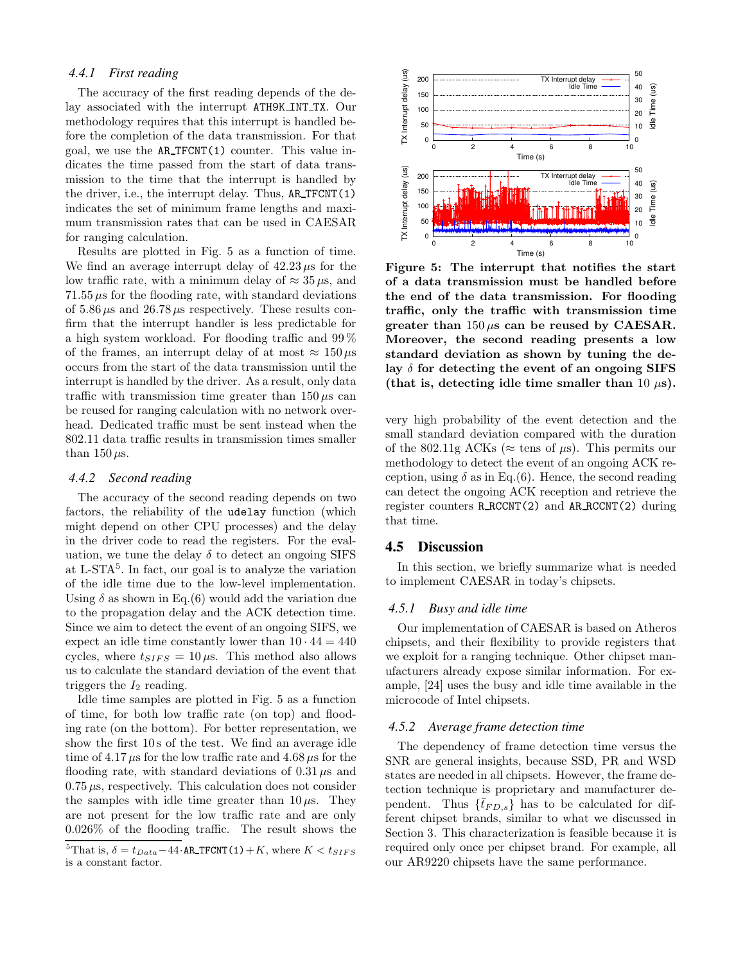# *4.4.1 First reading*

The accuracy of the first reading depends of the delay associated with the interrupt ATH9K INT TX. Our methodology requires that this interrupt is handled before the completion of the data transmission. For that goal, we use the AR TFCNT(1) counter. This value indicates the time passed from the start of data transmission to the time that the interrupt is handled by the driver, i.e., the interrupt delay. Thus, AR TFCNT(1) indicates the set of minimum frame lengths and maximum transmission rates that can be used in CAESAR for ranging calculation.

Results are plotted in Fig. 5 as a function of time. We find an average interrupt delay of  $42.23 \mu s$  for the low traffic rate, with a minimum delay of  $\approx 35 \,\mu s$ , and  $71.55\,\mu s$  for the flooding rate, with standard deviations of  $5.86 \,\mu s$  and  $26.78 \,\mu s$  respectively. These results confirm that the interrupt handler is less predictable for a high system workload. For flooding traffic and 99 % of the frames, an interrupt delay of at most  $\approx 150 \,\mu s$ occurs from the start of the data transmission until the interrupt is handled by the driver. As a result, only data traffic with transmission time greater than  $150 \mu s$  can be reused for ranging calculation with no network overhead. Dedicated traffic must be sent instead when the 802.11 data traffic results in transmission times smaller than  $150 \,\mu s$ .

#### *4.4.2 Second reading*

The accuracy of the second reading depends on two factors, the reliability of the udelay function (which might depend on other CPU processes) and the delay in the driver code to read the registers. For the evaluation, we tune the delay  $\delta$  to detect an ongoing SIFS at L-STA<sup>5</sup> . In fact, our goal is to analyze the variation of the idle time due to the low-level implementation. Using  $\delta$  as shown in Eq.(6) would add the variation due to the propagation delay and the ACK detection time. Since we aim to detect the event of an ongoing SIFS, we expect an idle time constantly lower than  $10 \cdot 44 = 440$ cycles, where  $t_{SIFS} = 10 \,\mu s$ . This method also allows us to calculate the standard deviation of the event that triggers the  $I_2$  reading.

Idle time samples are plotted in Fig. 5 as a function of time, for both low traffic rate (on top) and flooding rate (on the bottom). For better representation, we show the first 10 s of the test. We find an average idle time of 4.17  $\mu$ s for the low traffic rate and 4.68  $\mu$ s for the flooding rate, with standard deviations of  $0.31 \mu s$  and  $0.75 \,\mu s$ , respectively. This calculation does not consider the samples with idle time greater than  $10 \mu s$ . They are not present for the low traffic rate and are only 0.026% of the flooding traffic. The result shows the



Figure 5: The interrupt that notifies the start of a data transmission must be handled before the end of the data transmission. For flooding traffic, only the traffic with transmission time greater than  $150 \mu s$  can be reused by CAESAR. Moreover, the second reading presents a low standard deviation as shown by tuning the delay  $\delta$  for detecting the event of an ongoing SIFS (that is, detecting idle time smaller than 10  $\mu$ s).

very high probability of the event detection and the small standard deviation compared with the duration of the 802.11g ACKs ( $\approx$  tens of  $\mu$ s). This permits our methodology to detect the event of an ongoing ACK reception, using  $\delta$  as in Eq.(6). Hence, the second reading can detect the ongoing ACK reception and retrieve the register counters R RCCNT(2) and AR RCCNT(2) during that time.

# **4.5 Discussion**

In this section, we briefly summarize what is needed to implement CAESAR in today's chipsets.

#### *4.5.1 Busy and idle time*

Our implementation of CAESAR is based on Atheros chipsets, and their flexibility to provide registers that we exploit for a ranging technique. Other chipset manufacturers already expose similar information. For example, [24] uses the busy and idle time available in the microcode of Intel chipsets.

#### *4.5.2 Average frame detection time*

The dependency of frame detection time versus the SNR are general insights, because SSD, PR and WSD states are needed in all chipsets. However, the frame detection technique is proprietary and manufacturer dependent. Thus  $\{\bar{t}_{FD,s}\}\$  has to be calculated for different chipset brands, similar to what we discussed in Section 3. This characterization is feasible because it is required only once per chipset brand. For example, all our AR9220 chipsets have the same performance.

<sup>&</sup>lt;sup>5</sup>That is,  $\delta = t_{Data} - 44 \cdot \text{AR\_TFCNT}(1) + K$ , where  $K < t_{SIFS}$ is a constant factor.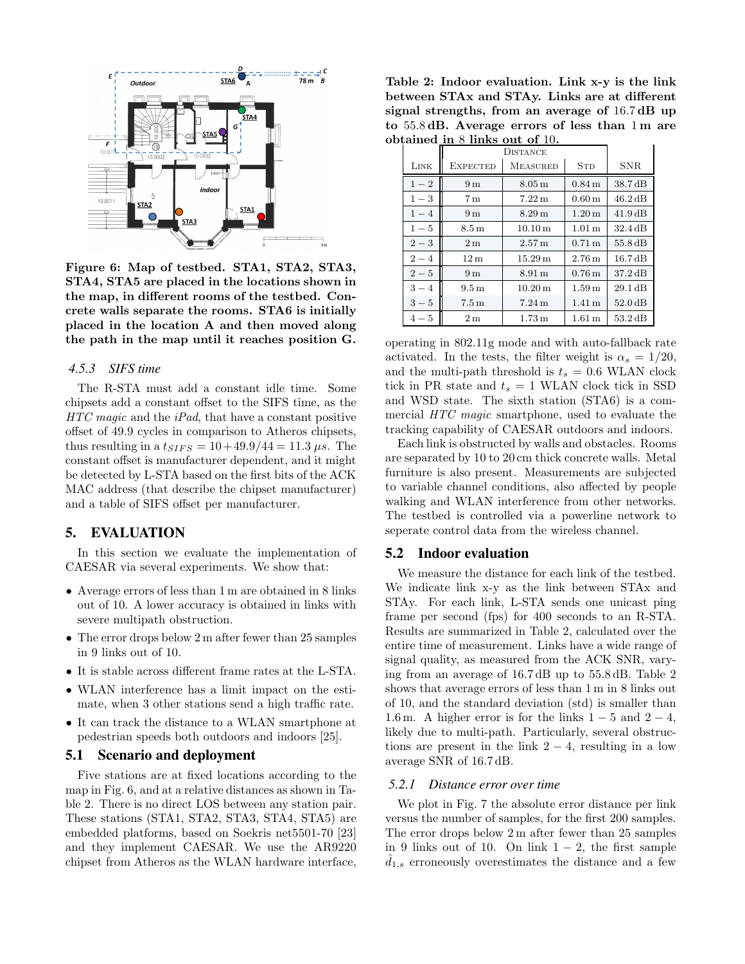

Figure 6: Map of testbed. STA1, STA2, STA3, STA4, STA5 are placed in the locations shown in the map, in different rooms of the testbed. Concrete walls separate the rooms. STA6 is initially placed in the location A and then moved along the path in the map until it reaches position G.

#### *4.5.3 SIFS time*

The R-STA must add a constant idle time. Some chipsets add a constant offset to the SIFS time, as the  $HTC$  magic and the iPad, that have a constant positive offset of 49.9 cycles in comparison to Atheros chipsets, thus resulting in a  $t_{SIFS} = 10 + 49.9/44 = 11.3 \,\mu s$ . The constant offset is manufacturer dependent, and it might be detected by L-STA based on the first bits of the ACK MAC address (that describe the chipset manufacturer) and a table of SIFS offset per manufacturer.

# **5. EVALUATION**

In this section we evaluate the implementation of CAESAR via several experiments. We show that:

- Average errors of less than 1 m are obtained in 8 links out of 10. A lower accuracy is obtained in links with severe multipath obstruction.
- The error drops below 2 m after fewer than 25 samples in 9 links out of 10.
- It is stable across different frame rates at the L-STA.
- WLAN interference has a limit impact on the estimate, when 3 other stations send a high traffic rate.
- It can track the distance to a WLAN smartphone at pedestrian speeds both outdoors and indoors [25].

# **5.1 Scenario and deployment**

Five stations are at fixed locations according to the map in Fig. 6, and at a relative distances as shown in Table 2. There is no direct LOS between any station pair. These stations (STA1, STA2, STA3, STA4, STA5) are embedded platforms, based on Soekris net5501-70 [23] and they implement CAESAR. We use the AR9220 chipset from Atheros as the WLAN hardware interface,

Table 2: Indoor evaluation. Link x-y is the link between STAx and STAy. Links are at different signal strengths, from an average of 16.7 dB up to 55.8 dB. Average errors of less than 1 m are obtained in 8 links out of 10.

|         | DISTANCE          |                     |                    |                     |
|---------|-------------------|---------------------|--------------------|---------------------|
| LINK    | <b>EXPECTED</b>   | <b>MEASURED</b>     | <b>STD</b>         | <b>SNR</b>          |
| $1 - 2$ | 9 <sub>m</sub>    | 8.05 <sub>m</sub>   | 0.84 <sub>m</sub>  | $38.7 \text{ dB}$   |
| $1 - 3$ | 7 <sub>m</sub>    | $7.22 \,\mathrm{m}$ | 0.60 <sub>m</sub>  | $46.2 \text{ dB}$   |
| $1 - 4$ | 9 <sub>m</sub>    | $8.29 \,\mathrm{m}$ | 1.20 m             | $41.9 \text{ dB}$   |
| $1 - 5$ | $8.5\,\mathrm{m}$ | $10.10\,\mathrm{m}$ | 1.01 m             | $32.4 \text{ dB}$   |
| $2 - 3$ | $2\,\mathrm{m}$   | 2.57 <sub>m</sub>   | 0.71 <sub>m</sub>  | $55.8\,\mathrm{dB}$ |
| $2 - 4$ | 12 <sub>m</sub>   | $15.29\,\mathrm{m}$ | $2.76\,\mathrm{m}$ | 16.7 dB             |
| $2 - 5$ | 9 <sub>m</sub>    | 8.91 m              | 0.76 <sub>m</sub>  | $37.2 \text{ dB}$   |
| $3 - 4$ | 9.5 <sub>m</sub>  | $10.20\,\mathrm{m}$ | 1.59 <sub>m</sub>  | $29.1 \text{ dB}$   |
| $3-5$   | 7.5 <sub>m</sub>  | 7.24 <sub>m</sub>   | 1.41 m             | $52.0\,\mathrm{dB}$ |
| $4 - 5$ | $2\,\mathrm{m}$   | $1.73 \text{ m}$    | 1.61 <sub>m</sub>  | $53.2\,\mathrm{dB}$ |

operating in 802.11g mode and with auto-fallback rate activated. In the tests, the filter weight is  $\alpha_s = 1/20$ , and the multi-path threshold is  $t_s = 0.6$  WLAN clock tick in PR state and  $t_s = 1$  WLAN clock tick in SSD and WSD state. The sixth station (STA6) is a commercial HTC magic smartphone, used to evaluate the tracking capability of CAESAR outdoors and indoors.

Each link is obstructed by walls and obstacles. Rooms are separated by 10 to 20 cm thick concrete walls. Metal furniture is also present. Measurements are subjected to variable channel conditions, also affected by people walking and WLAN interference from other networks. The testbed is controlled via a powerline network to seperate control data from the wireless channel.

#### **5.2 Indoor evaluation**

We measure the distance for each link of the testbed. We indicate link x-y as the link between STAx and STAy. For each link, L-STA sends one unicast ping frame per second (fps) for 400 seconds to an R-STA. Results are summarized in Table 2, calculated over the entire time of measurement. Links have a wide range of signal quality, as measured from the ACK SNR, varying from an average of 16.7 dB up to 55.8 dB. Table 2 shows that average errors of less than 1 m in 8 links out of 10, and the standard deviation (std) is smaller than 1.6 m. A higher error is for the links  $1 - 5$  and  $2 - 4$ , likely due to multi-path. Particularly, several obstructions are present in the link  $2 - 4$ , resulting in a low average SNR of 16.7 dB.

#### *5.2.1 Distance error over time*

We plot in Fig. 7 the absolute error distance per link versus the number of samples, for the first 200 samples. The error drops below 2 m after fewer than 25 samples in 9 links out of 10. On link  $1 - 2$ , the first sample  $d_{1,s}$  erroneously overestimates the distance and a few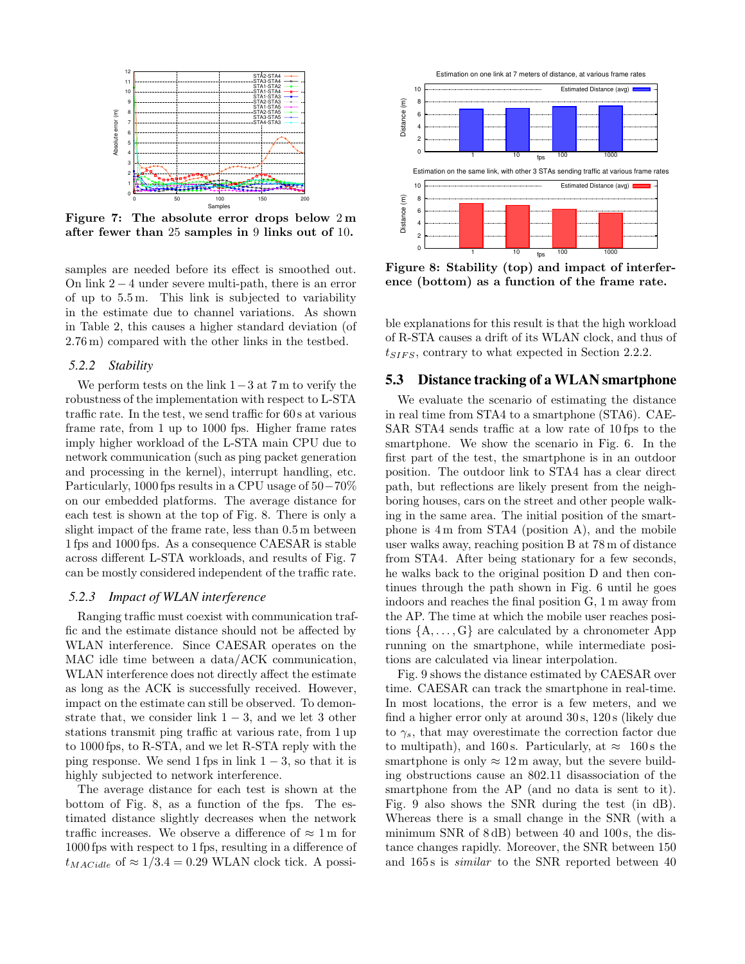

Figure 7: The absolute error drops below 2 m after fewer than 25 samples in 9 links out of 10.

samples are needed before its effect is smoothed out. On link 2 − 4 under severe multi-path, there is an error of up to 5.5 m. This link is subjected to variability in the estimate due to channel variations. As shown in Table 2, this causes a higher standard deviation (of 2.76 m) compared with the other links in the testbed.

#### *5.2.2 Stability*

We perform tests on the link  $1-3$  at 7 m to verify the robustness of the implementation with respect to L-STA traffic rate. In the test, we send traffic for 60 s at various frame rate, from 1 up to 1000 fps. Higher frame rates imply higher workload of the L-STA main CPU due to network communication (such as ping packet generation and processing in the kernel), interrupt handling, etc. Particularly, 1000 fps results in a CPU usage of 50−70% on our embedded platforms. The average distance for each test is shown at the top of Fig. 8. There is only a slight impact of the frame rate, less than 0.5 m between 1 fps and 1000 fps. As a consequence CAESAR is stable across different L-STA workloads, and results of Fig. 7 can be mostly considered independent of the traffic rate.

#### *5.2.3 Impact of WLAN interference*

Ranging traffic must coexist with communication traffic and the estimate distance should not be affected by WLAN interference. Since CAESAR operates on the MAC idle time between a data/ACK communication, WLAN interference does not directly affect the estimate as long as the ACK is successfully received. However, impact on the estimate can still be observed. To demonstrate that, we consider link  $1 - 3$ , and we let 3 other stations transmit ping traffic at various rate, from 1 up to 1000 fps, to R-STA, and we let R-STA reply with the ping response. We send 1 fps in link  $1 - 3$ , so that it is highly subjected to network interference.

The average distance for each test is shown at the bottom of Fig. 8, as a function of the fps. The estimated distance slightly decreases when the network traffic increases. We observe a difference of  $\approx 1 \text{ m}$  for 1000 fps with respect to 1 fps, resulting in a difference of  $t_{MACidle}$  of  $\approx 1/3.4 = 0.29$  WLAN clock tick. A possi-



Figure 8: Stability (top) and impact of interference (bottom) as a function of the frame rate.

ble explanations for this result is that the high workload of R-STA causes a drift of its WLAN clock, and thus of  $t_{SIFS}$ , contrary to what expected in Section 2.2.2.

# **5.3 Distance tracking of a WLAN smartphone**

We evaluate the scenario of estimating the distance in real time from STA4 to a smartphone (STA6). CAE-SAR STA4 sends traffic at a low rate of 10 fps to the smartphone. We show the scenario in Fig. 6. In the first part of the test, the smartphone is in an outdoor position. The outdoor link to STA4 has a clear direct path, but reflections are likely present from the neighboring houses, cars on the street and other people walking in the same area. The initial position of the smartphone is 4 m from STA4 (position A), and the mobile user walks away, reaching position B at 78 m of distance from STA4. After being stationary for a few seconds, he walks back to the original position D and then continues through the path shown in Fig. 6 until he goes indoors and reaches the final position G, 1 m away from the AP. The time at which the mobile user reaches positions  $\{A, \ldots, G\}$  are calculated by a chronometer App running on the smartphone, while intermediate positions are calculated via linear interpolation.

Fig. 9 shows the distance estimated by CAESAR over time. CAESAR can track the smartphone in real-time. In most locations, the error is a few meters, and we find a higher error only at around 30 s, 120 s (likely due to  $\gamma_s$ , that may overestimate the correction factor due to multipath), and 160s. Particularly, at  $\approx$  160s the smartphone is only  $\approx 12 \,\mathrm{m}$  away, but the severe building obstructions cause an 802.11 disassociation of the smartphone from the AP (and no data is sent to it). Fig. 9 also shows the SNR during the test (in dB). Whereas there is a small change in the SNR (with a minimum SNR of 8dB) between 40 and 100s, the distance changes rapidly. Moreover, the SNR between 150 and  $165s$  is *similar* to the SNR reported between  $40$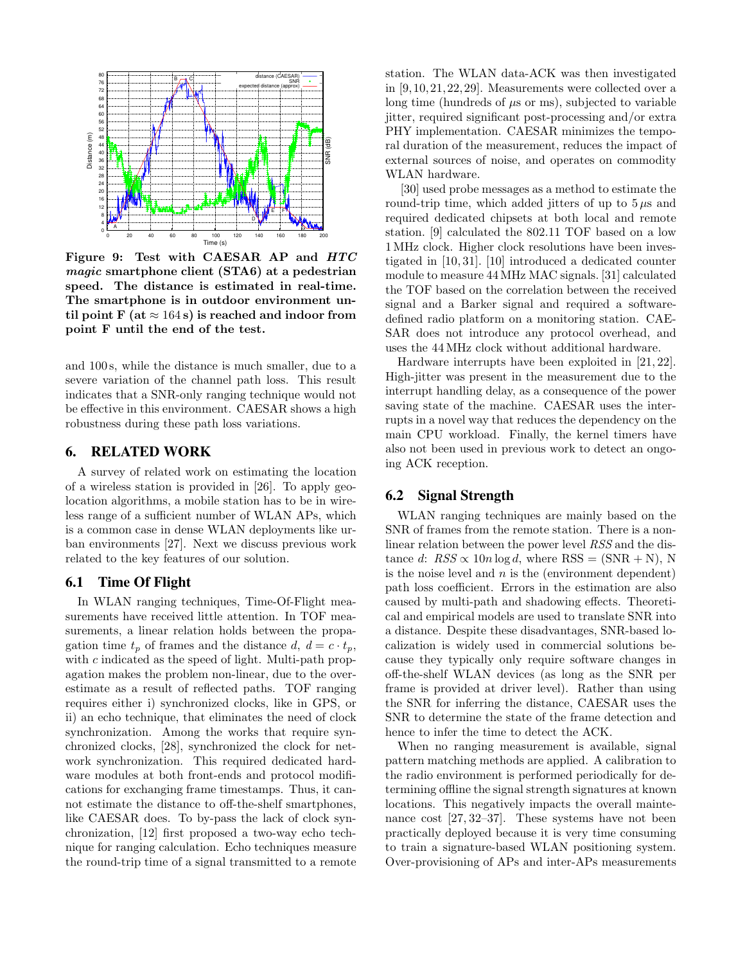

Figure 9: Test with CAESAR AP and HTC magic smartphone client (STA6) at a pedestrian speed. The distance is estimated in real-time. The smartphone is in outdoor environment until point F (at  $\approx 164$  s) is reached and indoor from point F until the end of the test.

and 100 s, while the distance is much smaller, due to a severe variation of the channel path loss. This result indicates that a SNR-only ranging technique would not be effective in this environment. CAESAR shows a high robustness during these path loss variations.

# **6. RELATED WORK**

A survey of related work on estimating the location of a wireless station is provided in [26]. To apply geolocation algorithms, a mobile station has to be in wireless range of a sufficient number of WLAN APs, which is a common case in dense WLAN deployments like urban environments [27]. Next we discuss previous work related to the key features of our solution.

# **6.1 Time Of Flight**

In WLAN ranging techniques, Time-Of-Flight measurements have received little attention. In TOF measurements, a linear relation holds between the propagation time  $t_p$  of frames and the distance d,  $d = c \cdot t_p$ , with  $c$  indicated as the speed of light. Multi-path propagation makes the problem non-linear, due to the overestimate as a result of reflected paths. TOF ranging requires either i) synchronized clocks, like in GPS, or ii) an echo technique, that eliminates the need of clock synchronization. Among the works that require synchronized clocks, [28], synchronized the clock for network synchronization. This required dedicated hardware modules at both front-ends and protocol modifications for exchanging frame timestamps. Thus, it cannot estimate the distance to off-the-shelf smartphones, like CAESAR does. To by-pass the lack of clock synchronization, [12] first proposed a two-way echo technique for ranging calculation. Echo techniques measure the round-trip time of a signal transmitted to a remote

station. The WLAN data-ACK was then investigated in [9, 10, 21, 22, 29]. Measurements were collected over a long time (hundreds of  $\mu$ s or ms), subjected to variable jitter, required significant post-processing and/or extra PHY implementation. CAESAR minimizes the temporal duration of the measurement, reduces the impact of external sources of noise, and operates on commodity WLAN hardware.

[30] used probe messages as a method to estimate the round-trip time, which added jitters of up to  $5 \mu s$  and required dedicated chipsets at both local and remote station. [9] calculated the 802.11 TOF based on a low 1 MHz clock. Higher clock resolutions have been investigated in [10, 31]. [10] introduced a dedicated counter module to measure 44MHz MAC signals. [31] calculated the TOF based on the correlation between the received signal and a Barker signal and required a softwaredefined radio platform on a monitoring station. CAE-SAR does not introduce any protocol overhead, and uses the 44 MHz clock without additional hardware.

Hardware interrupts have been exploited in [21, 22]. High-jitter was present in the measurement due to the interrupt handling delay, as a consequence of the power saving state of the machine. CAESAR uses the interrupts in a novel way that reduces the dependency on the main CPU workload. Finally, the kernel timers have also not been used in previous work to detect an ongoing ACK reception.

# **6.2 Signal Strength**

WLAN ranging techniques are mainly based on the SNR of frames from the remote station. There is a nonlinear relation between the power level RSS and the distance d:  $RSS \propto 10n \log d$ , where RSS = (SNR + N), N is the noise level and  $n$  is the (environment dependent) path loss coefficient. Errors in the estimation are also caused by multi-path and shadowing effects. Theoretical and empirical models are used to translate SNR into a distance. Despite these disadvantages, SNR-based localization is widely used in commercial solutions because they typically only require software changes in off-the-shelf WLAN devices (as long as the SNR per frame is provided at driver level). Rather than using the SNR for inferring the distance, CAESAR uses the SNR to determine the state of the frame detection and hence to infer the time to detect the ACK.

When no ranging measurement is available, signal pattern matching methods are applied. A calibration to the radio environment is performed periodically for determining offline the signal strength signatures at known locations. This negatively impacts the overall maintenance cost [27, 32–37]. These systems have not been practically deployed because it is very time consuming to train a signature-based WLAN positioning system. Over-provisioning of APs and inter-APs measurements